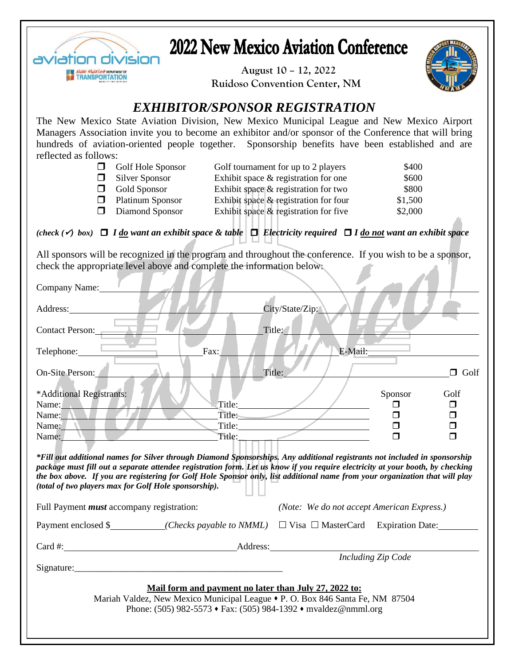

## **2022 New Mexico Aviation Conference**

 **August 10 – 12, 2022 Ruidoso Convention Center, NM**



### *EXHIBITOR/SPONSOR REGISTRATION*

The New Mexico State Aviation Division, New Mexico Municipal League and New Mexico Airport Managers Association invite you to become an exhibitor and/or sponsor of the Conference that will bring hundreds of aviation-oriented people together. Sponsorship benefits have been established and are reflected as follows:

|    | Golf Hole Sponsor       | Golf tournament for up to 2 players      | \$400   |
|----|-------------------------|------------------------------------------|---------|
|    | Silver Sponsor          | Exhibit space & registration for one     | \$600   |
| H. | Gold Sponsor            | Exhibit space $\&$ registration for two  | \$800   |
|    | <b>Platinum Sponsor</b> | Exhibit space & registration for four    | \$1,500 |
|    | Diamond Sponsor         | Exhibit space $\&$ registration for five | \$2,000 |

### *(check (*✓*) box)* *I do want an exhibit space & table**Electricity required I do not want an exhibit space*

All sponsors will be recognized in the program and throughout the conference. If you wish to be a sponsor, check the appropriate level above and complete the information below:

| Company Name:                                                                                                                                                                                                                                                                                                                                                                                                                                         |                                                                   |  |  |  |
|-------------------------------------------------------------------------------------------------------------------------------------------------------------------------------------------------------------------------------------------------------------------------------------------------------------------------------------------------------------------------------------------------------------------------------------------------------|-------------------------------------------------------------------|--|--|--|
| Address:                                                                                                                                                                                                                                                                                                                                                                                                                                              | City/State/Zip:                                                   |  |  |  |
| Contact Person:                                                                                                                                                                                                                                                                                                                                                                                                                                       | Title:                                                            |  |  |  |
| Telephone: <u>_____________</u><br>Fax:                                                                                                                                                                                                                                                                                                                                                                                                               | E-Mail:                                                           |  |  |  |
| On-Site Person:                                                                                                                                                                                                                                                                                                                                                                                                                                       | Title:<br>$\Box$ Golf                                             |  |  |  |
| *Additional Registrants:<br>Title:<br>Name:<br>Title:<br>Name: N<br>Title:<br>Name:<br>Title:<br>Name:                                                                                                                                                                                                                                                                                                                                                | Sponsor<br>Golf<br>$\Box$<br>$\Box$<br>$\Box$<br>$\Box$<br>$\Box$ |  |  |  |
| *Fill out additional names for Silver through Diamond Sponsorships. Any additional registrants not included in sponsorship<br>package must fill out a separate attendee registration form. Let us know if you require electricity at your booth, by checking<br>the box above. If you are registering for Golf Hole Sponsor only, list additional name from your organization that will play<br>(total of two players max for Golf Hole sponsorship). |                                                                   |  |  |  |
| Full Payment <i>must</i> accompany registration:                                                                                                                                                                                                                                                                                                                                                                                                      | (Note: We do not accept American Express.)                        |  |  |  |
| Payment enclosed \$________(Checks payable to NMML) □ Visa □ MasterCard Expiration Date:                                                                                                                                                                                                                                                                                                                                                              |                                                                   |  |  |  |
| Card #: Address:                                                                                                                                                                                                                                                                                                                                                                                                                                      |                                                                   |  |  |  |
|                                                                                                                                                                                                                                                                                                                                                                                                                                                       | <b>Including Zip Code</b>                                         |  |  |  |
| Mail form and payment no later than July 27, 2022 to:<br>Mariah Valdez, New Mexico Municipal League • P. O. Box 846 Santa Fe, NM 87504<br>Phone: (505) 982-5573 • Fax: (505) 984-1392 • mvaldez@nmml.org                                                                                                                                                                                                                                              |                                                                   |  |  |  |